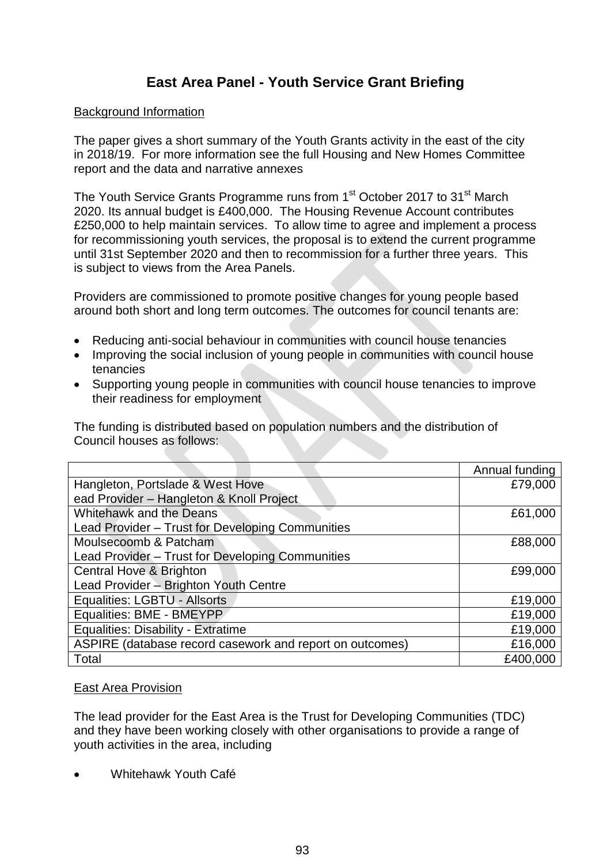## **East Area Panel - Youth Service Grant Briefing**

## Background Information

The paper gives a short summary of the Youth Grants activity in the east of the city in 2018/19. For more information see the full Housing and New Homes Committee report and the data and narrative annexes

The Youth Service Grants Programme runs from 1<sup>st</sup> October 2017 to 31<sup>st</sup> March 2020. Its annual budget is £400,000. The Housing Revenue Account contributes £250,000 to help maintain services. To allow time to agree and implement a process for recommissioning youth services, the proposal is to extend the current programme until 31st September 2020 and then to recommission for a further three years. This is subject to views from the Area Panels.

Providers are commissioned to promote positive changes for young people based around both short and long term outcomes. The outcomes for council tenants are:

- Reducing anti-social behaviour in communities with council house tenancies
- Improving the social inclusion of young people in communities with council house tenancies
- Supporting young people in communities with council house tenancies to improve their readiness for employment

The funding is distributed based on population numbers and the distribution of Council houses as follows:

|                                                          | Annual funding |
|----------------------------------------------------------|----------------|
| Hangleton, Portslade & West Hove                         | £79,000        |
| ead Provider - Hangleton & Knoll Project                 |                |
| Whitehawk and the Deans                                  | £61,000        |
| Lead Provider - Trust for Developing Communities         |                |
| Moulsecoomb & Patcham                                    | £88,000        |
| Lead Provider - Trust for Developing Communities         |                |
| <b>Central Hove &amp; Brighton</b>                       | £99,000        |
| Lead Provider - Brighton Youth Centre                    |                |
| Equalities: LGBTU - Allsorts                             | £19,000        |
| Equalities: BME - BMEYPP                                 | £19,000        |
| Equalities: Disability - Extratime                       | £19,000        |
| ASPIRE (database record casework and report on outcomes) | £16,000        |
| Total                                                    | £400,000       |

## East Area Provision

The lead provider for the East Area is the Trust for Developing Communities (TDC) and they have been working closely with other organisations to provide a range of youth activities in the area, including

Whitehawk Youth Café